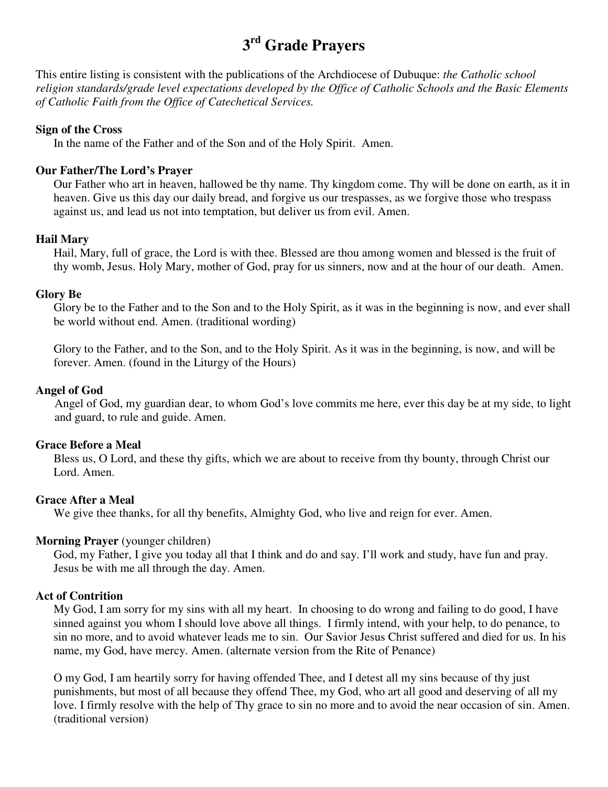# **3 rd Grade Prayers**

This entire listing is consistent with the publications of the Archdiocese of Dubuque: *the Catholic school religion standards/grade level expectations developed by the Office of Catholic Schools and the Basic Elements of Catholic Faith from the Office of Catechetical Services.*

#### **Sign of the Cross**

In the name of the Father and of the Son and of the Holy Spirit. Amen.

#### **Our Father/The Lord's Prayer**

Our Father who art in heaven, hallowed be thy name. Thy kingdom come. Thy will be done on earth, as it in heaven. Give us this day our daily bread, and forgive us our trespasses, as we forgive those who trespass against us, and lead us not into temptation, but deliver us from evil. Amen.

#### **Hail Mary**

Hail, Mary, full of grace, the Lord is with thee. Blessed are thou among women and blessed is the fruit of thy womb, Jesus. Holy Mary, mother of God, pray for us sinners, now and at the hour of our death. Amen.

#### **Glory Be**

Glory be to the Father and to the Son and to the Holy Spirit, as it was in the beginning is now, and ever shall be world without end. Amen. (traditional wording)

Glory to the Father, and to the Son, and to the Holy Spirit. As it was in the beginning, is now, and will be forever. Amen. (found in the Liturgy of the Hours)

#### **Angel of God**

Angel of God, my guardian dear, to whom God's love commits me here, ever this day be at my side, to light and guard, to rule and guide. Amen.

#### **Grace Before a Meal**

Bless us, O Lord, and these thy gifts, which we are about to receive from thy bounty, through Christ our Lord. Amen.

## **Grace After a Meal**

We give thee thanks, for all thy benefits, Almighty God, who live and reign for ever. Amen.

## **Morning Prayer** (younger children)

 God, my Father, I give you today all that I think and do and say. I'll work and study, have fun and pray. Jesus be with me all through the day. Amen.

## **Act of Contrition**

My God, I am sorry for my sins with all my heart. In choosing to do wrong and failing to do good, I have sinned against you whom I should love above all things. I firmly intend, with your help, to do penance, to sin no more, and to avoid whatever leads me to sin. Our Savior Jesus Christ suffered and died for us. In his name, my God, have mercy. Amen. (alternate version from the Rite of Penance)

O my God, I am heartily sorry for having offended Thee, and I detest all my sins because of thy just punishments, but most of all because they offend Thee, my God, who art all good and deserving of all my love. I firmly resolve with the help of Thy grace to sin no more and to avoid the near occasion of sin. Amen. (traditional version)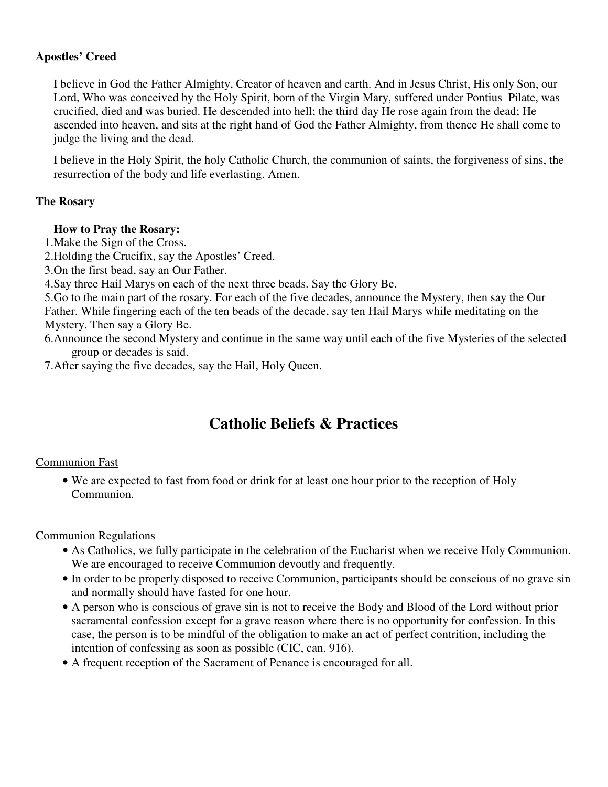## **Apostles' Creed**

I believe in God the Father Almighty, Creator of heaven and earth. And in Jesus Christ, His only Son, our Lord, Who was conceived by the Holy Spirit, born of the Virgin Mary, suffered under Pontius Pilate, was crucified, died and was buried. He descended into hell; the third day He rose again from the dead; He ascended into heaven, and sits at the right hand of God the Father Almighty, from thence He shall come to judge the living and the dead.

I believe in the Holy Spirit, the holy Catholic Church, the communion of saints, the forgiveness of sins, the resurrection of the body and life everlasting. Amen.

## **The Rosary**

#### **How to Pray the Rosary:**

1.Make the Sign of the Cross.

2.Holding the Crucifix, say the Apostles' Creed.

3.On the first bead, say an Our Father.

4.Say three Hail Marys on each of the next three beads. Say the Glory Be.

5.Go to the main part of the rosary. For each of the five decades, announce the Mystery, then say the Our Father. While fingering each of the ten beads of the decade, say ten Hail Marys while meditating on the Mystery. Then say a Glory Be.

6.Announce the second Mystery and continue in the same way until each of the five Mysteries of the selected group or decades is said.

7.After saying the five decades, say the Hail, Holy Queen.

## **Catholic Beliefs & Practices**

## Communion Fast

• We are expected to fast from food or drink for at least one hour prior to the reception of Holy Communion.

Communion Regulations

- As Catholics, we fully participate in the celebration of the Eucharist when we receive Holy Communion. We are encouraged to receive Communion devoutly and frequently.
- In order to be properly disposed to receive Communion, participants should be conscious of no grave sin and normally should have fasted for one hour.
- A person who is conscious of grave sin is not to receive the Body and Blood of the Lord without prior sacramental confession except for a grave reason where there is no opportunity for confession. In this case, the person is to be mindful of the obligation to make an act of perfect contrition, including the intention of confessing as soon as possible (CIC, can. 916).
- A frequent reception of the Sacrament of Penance is encouraged for all.